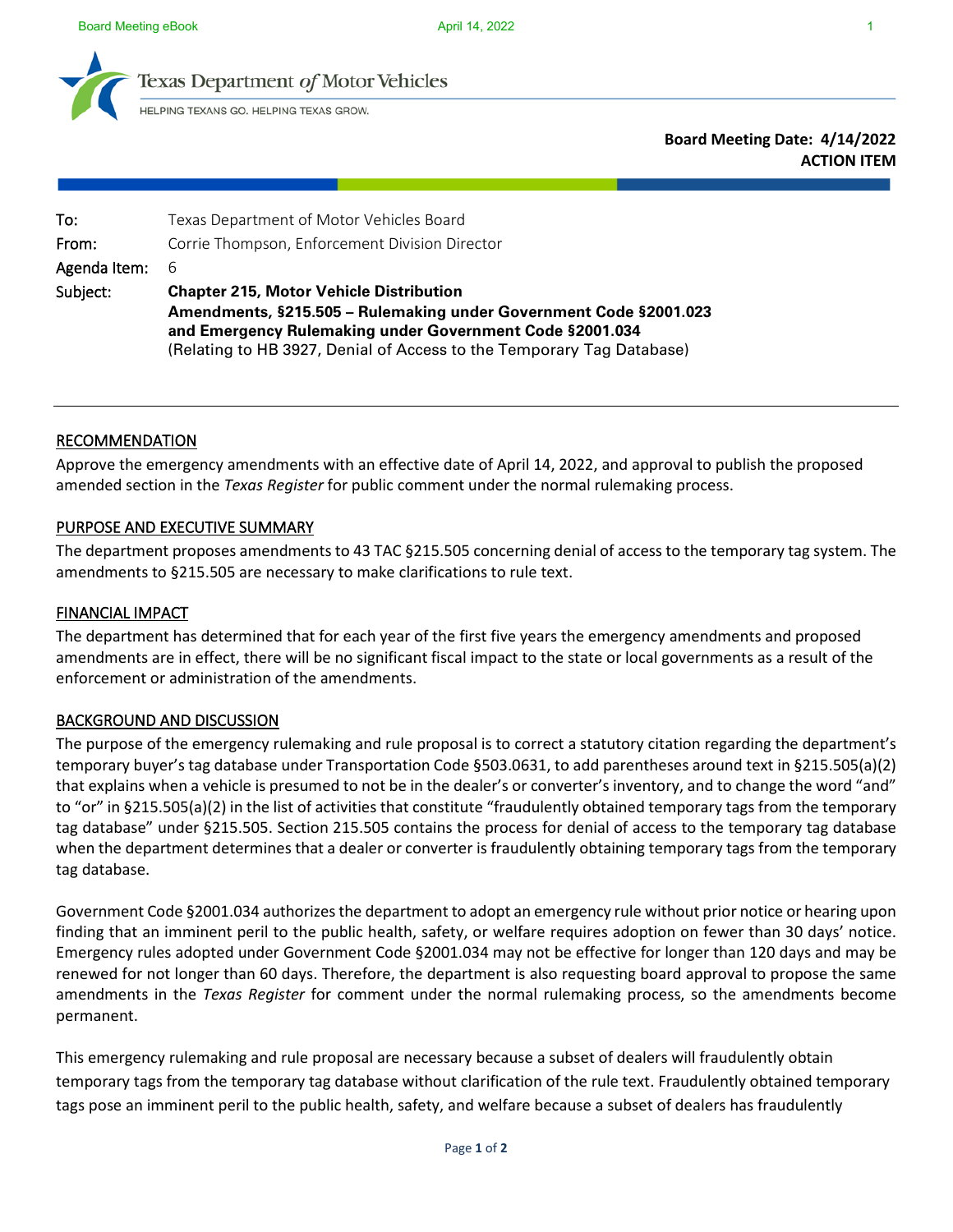



exas Department of Motor Vehicles

HELPING TEXANS GO. HELPING TEXAS GROW.

**Board Meeting Date: 4/14/2022 ACTION ITEM**

| To:          | Texas Department of Motor Vehicles Board                              |
|--------------|-----------------------------------------------------------------------|
| From:        | Corrie Thompson, Enforcement Division Director                        |
| Agenda Item: | - 6                                                                   |
| Subject:     | <b>Chapter 215, Motor Vehicle Distribution</b>                        |
|              | Amendments, §215.505 – Rulemaking under Government Code §2001.023     |
|              | and Emergency Rulemaking under Government Code §2001.034              |
|              | (Relating to HB 3927, Denial of Access to the Temporary Tag Database) |

## RECOMMENDATION

Approve the emergency amendments with an effective date of April 14, 2022, and approval to publish the proposed amended section in the *Texas Register* for public comment under the normal rulemaking process.

### PURPOSE AND EXECUTIVE SUMMARY

The department proposes amendments to 43 TAC §215.505 concerning denial of access to the temporary tag system. The amendments to §215.505 are necessary to make clarifications to rule text.

### FINANCIAL IMPACT

The department has determined that for each year of the first five years the emergency amendments and proposed amendments are in effect, there will be no significant fiscal impact to the state or local governments as a result of the enforcement or administration of the amendments.

### BACKGROUND AND DISCUSSION

The purpose of the emergency rulemaking and rule proposal is to correct a statutory citation regarding the department's temporary buyer's tag database under Transportation Code §503.0631, to add parentheses around text in §215.505(a)(2) that explains when a vehicle is presumed to not be in the dealer's or converter's inventory, and to change the word "and" to "or" in §215.505(a)(2) in the list of activities that constitute "fraudulently obtained temporary tags from the temporary tag database" under §215.505. Section 215.505 contains the process for denial of access to the temporary tag database when the department determines that a dealer or converter is fraudulently obtaining temporary tags from the temporary tag database.

Government Code §2001.034 authorizesthe department to adopt an emergency rule without prior notice or hearing upon finding that an imminent peril to the public health, safety, or welfare requires adoption on fewer than 30 days' notice. Emergency rules adopted under Government Code §2001.034 may not be effective for longer than 120 days and may be renewed for not longer than 60 days. Therefore, the department is also requesting board approval to propose the same amendments in the *Texas Register* for comment under the normal rulemaking process, so the amendments become permanent.

This emergency rulemaking and rule proposal are necessary because a subset of dealers will fraudulently obtain temporary tags from the temporary tag database without clarification of the rule text. Fraudulently obtained temporary tags pose an imminent peril to the public health, safety, and welfare because a subset of dealers has fraudulently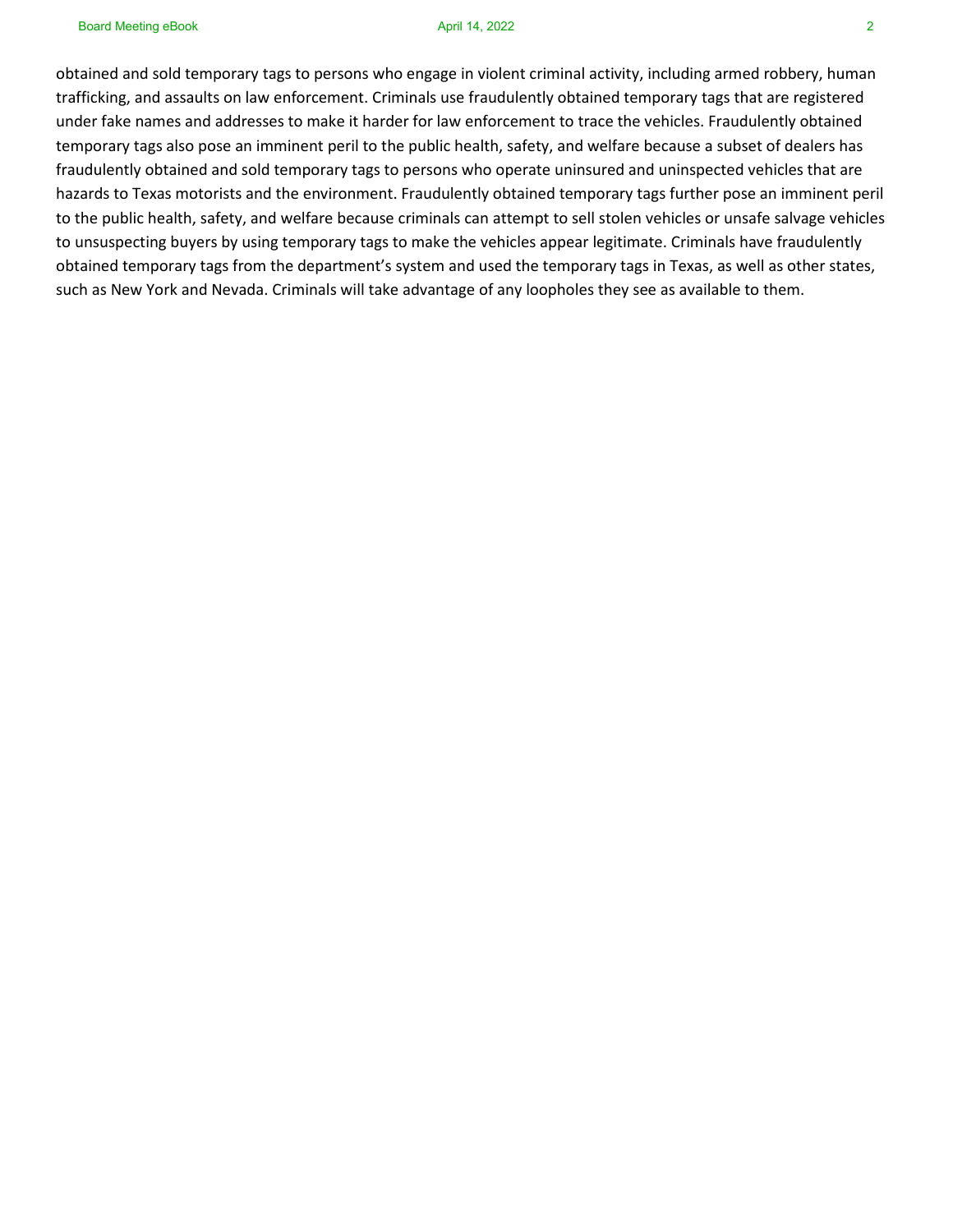obtained and sold temporary tags to persons who engage in violent criminal activity, including armed robbery, human trafficking, and assaults on law enforcement. Criminals use fraudulently obtained temporary tags that are registered under fake names and addresses to make it harder for law enforcement to trace the vehicles. Fraudulently obtained temporary tags also pose an imminent peril to the public health, safety, and welfare because a subset of dealers has fraudulently obtained and sold temporary tags to persons who operate uninsured and uninspected vehicles that are hazards to Texas motorists and the environment. Fraudulently obtained temporary tags further pose an imminent peril to the public health, safety, and welfare because criminals can attempt to sell stolen vehicles or unsafe salvage vehicles to unsuspecting buyers by using temporary tags to make the vehicles appear legitimate. Criminals have fraudulently obtained temporary tags from the department's system and used the temporary tags in Texas, as well as other states, such as New York and Nevada. Criminals will take advantage of any loopholes they see as available to them.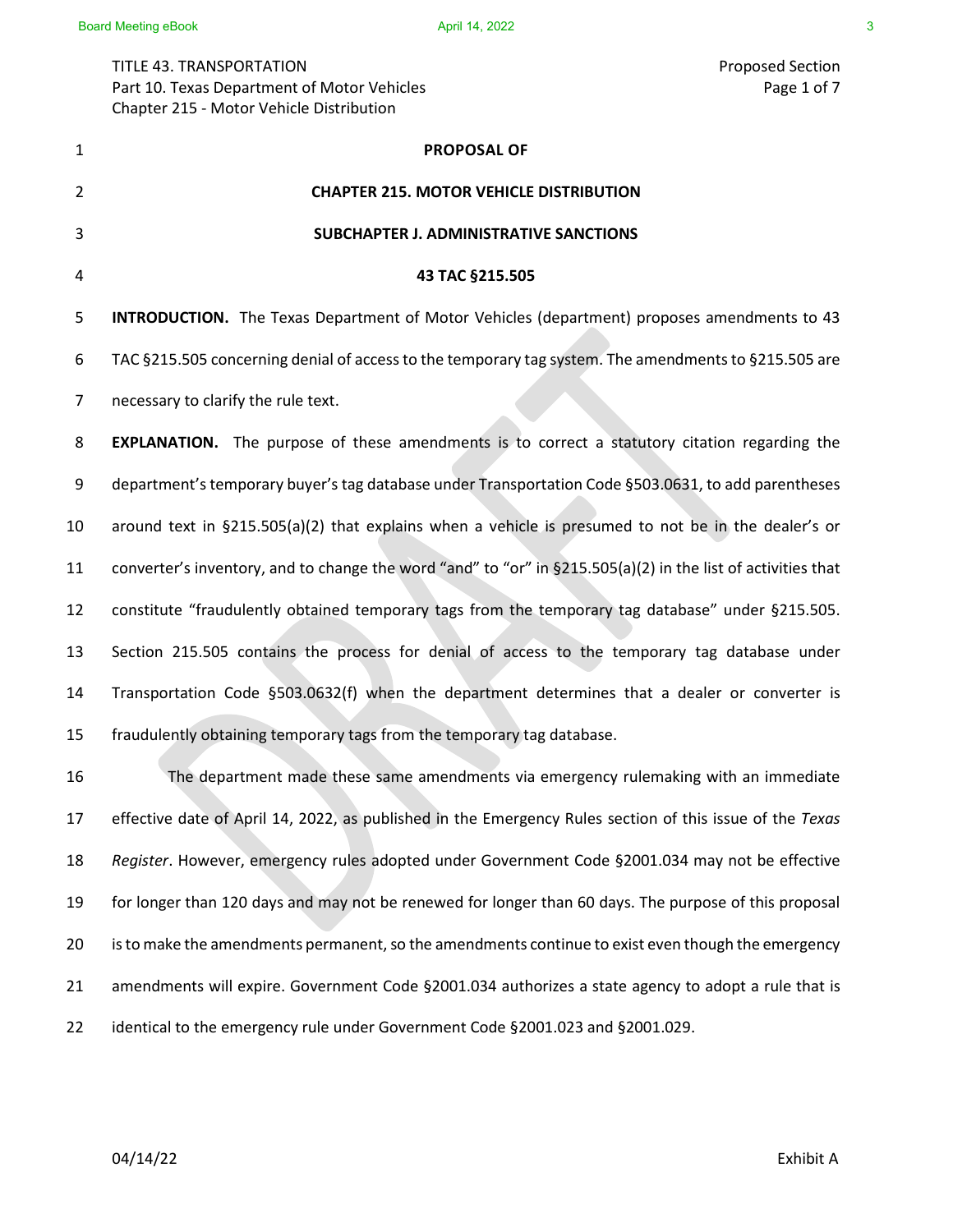TITLE 43. TRANSPORTATION Proposed Section Part 10. Texas Department of Motor Vehicles Page 1 of 7 Chapter 215 - Motor Vehicle Distribution

**PROPOSAL OF CHAPTER 215. MOTOR VEHICLE DISTRIBUTION SUBCHAPTER J. ADMINISTRATIVE SANCTIONS 43 TAC §215.505 INTRODUCTION.** The Texas Department of Motor Vehicles (department) proposes amendments to 43 6 TAC §215.505 concerning denial of access to the temporary tag system. The amendments to §215.505 are 7 necessary to clarify the rule text. **EXPLANATION.** The purpose of these amendments is to correct a statutory citation regarding the 9 department's temporary buyer's tag database under Transportation Code §503.0631, to add parentheses around text in §215.505(a)(2) that explains when a vehicle is presumed to not be in the dealer's or converter's inventory, and to change the word "and" to "or" in §215.505(a)(2) in the list of activities that constitute "fraudulently obtained temporary tags from the temporary tag database" under §215.505. Section 215.505 contains the process for denial of access to the temporary tag database under Transportation Code §503.0632(f) when the department determines that a dealer or converter is fraudulently obtaining temporary tags from the temporary tag database. The department made these same amendments via emergency rulemaking with an immediate effective date of April 14, 2022, as published in the Emergency Rules section of this issue of the *Texas Register*. However, emergency rules adopted under Government Code §2001.034 may not be effective for longer than 120 days and may not be renewed for longer than 60 days. The purpose of this proposal is to make the amendments permanent, so the amendments continue to exist even though the emergency amendments will expire. Government Code §2001.034 authorizes a state agency to adopt a rule that is identical to the emergency rule under Government Code §2001.023 and §2001.029.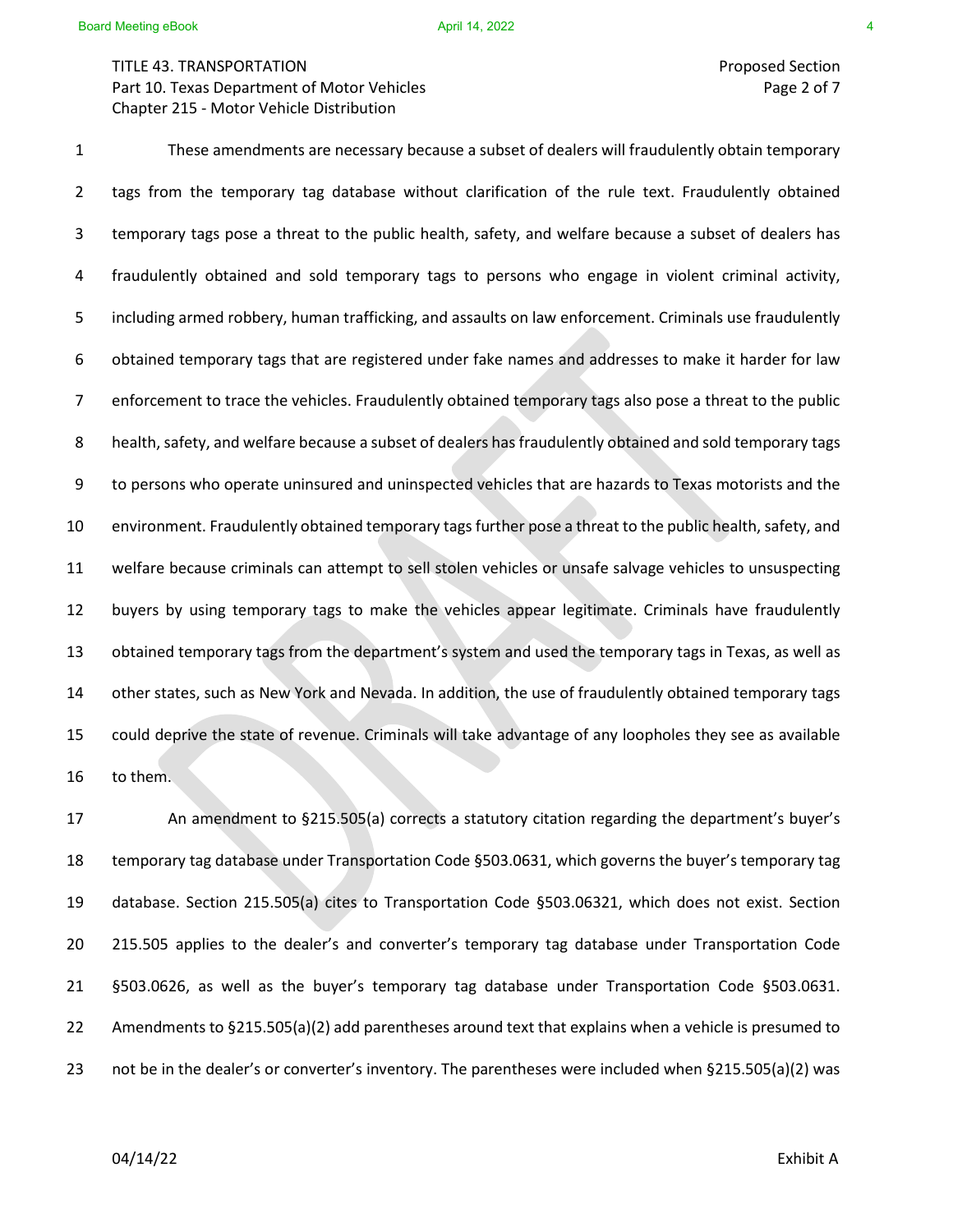# TITLE 43. TRANSPORTATION Proposed Section Part 10. Texas Department of Motor Vehicles **Page 2 of 7** and 2 of 7 Chapter 215 - Motor Vehicle Distribution

1 These amendments are necessary because a subset of dealers will fraudulently obtain temporary 2 tags from the temporary tag database without clarification of the rule text. Fraudulently obtained 3 temporary tags pose a threat to the public health, safety, and welfare because a subset of dealers has 4 fraudulently obtained and sold temporary tags to persons who engage in violent criminal activity, 5 including armed robbery, human trafficking, and assaults on law enforcement. Criminals use fraudulently 6 obtained temporary tags that are registered under fake names and addresses to make it harder for law 7 enforcement to trace the vehicles. Fraudulently obtained temporary tags also pose a threat to the public 8 health, safety, and welfare because a subset of dealers has fraudulently obtained and sold temporary tags 9 to persons who operate uninsured and uninspected vehicles that are hazards to Texas motorists and the 10 environment. Fraudulently obtained temporary tags further pose a threat to the public health, safety, and 11 welfare because criminals can attempt to sell stolen vehicles or unsafe salvage vehicles to unsuspecting 12 buyers by using temporary tags to make the vehicles appear legitimate. Criminals have fraudulently 13 obtained temporary tags from the department's system and used the temporary tags in Texas, as well as 14 other states, such as New York and Nevada. In addition, the use of fraudulently obtained temporary tags 15 could deprive the state of revenue. Criminals will take advantage of any loopholes they see as available 16 to them.

 An amendment to §215.505(a) corrects a statutory citation regarding the department's buyer's temporary tag database under Transportation Code §503.0631, which governs the buyer's temporary tag database. Section 215.505(a) cites to Transportation Code §503.06321, which does not exist. Section 215.505 applies to the dealer's and converter's temporary tag database under Transportation Code §503.0626, as well as the buyer's temporary tag database under Transportation Code §503.0631. Amendments to §215.505(a)(2) add parentheses around text that explains when a vehicle is presumed to not be in the dealer's or converter's inventory. The parentheses were included when §215.505(a)(2) was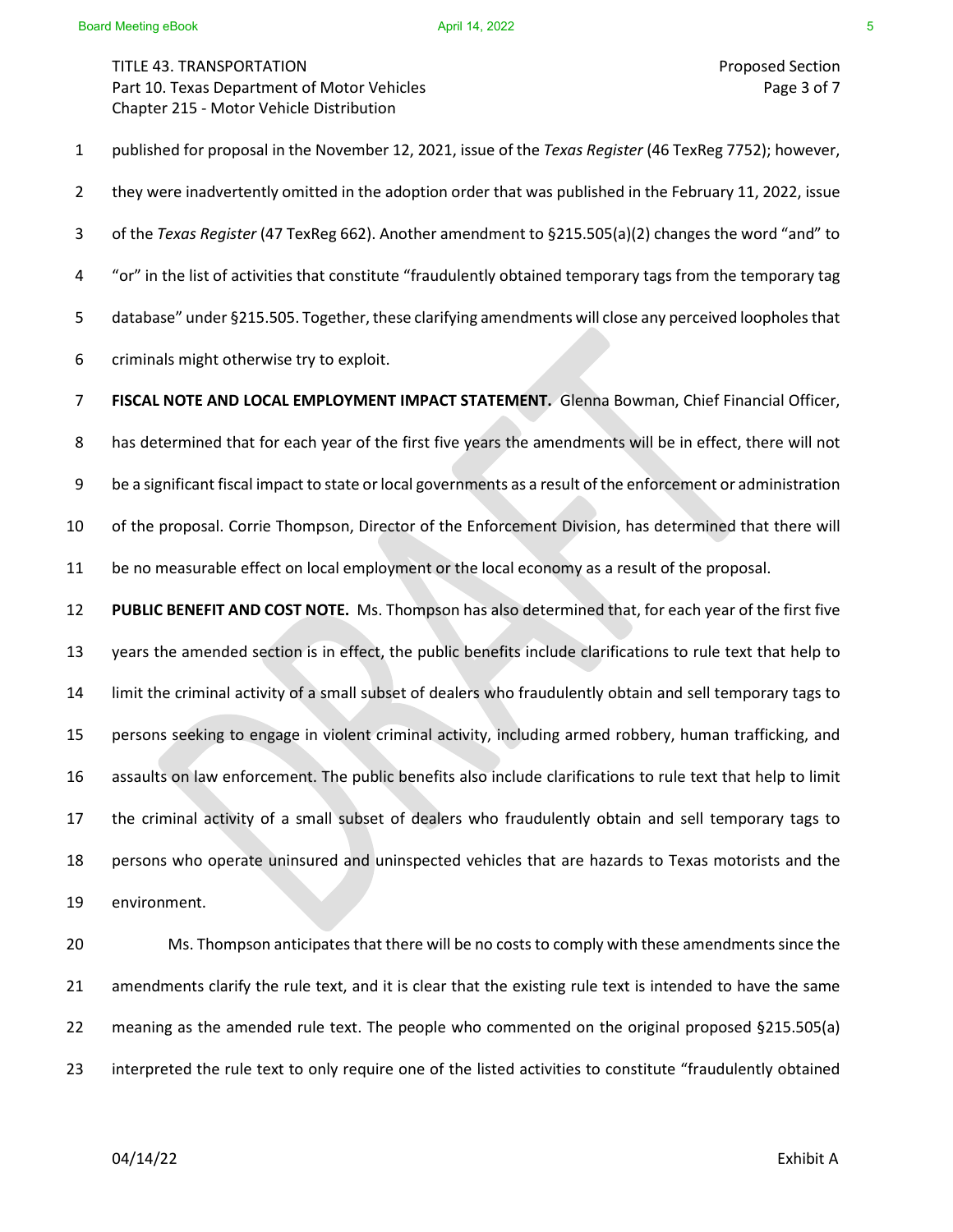1 published for proposal in the November 12, 2021, issue of the *Texas Register* (46 TexReg 7752); however, 2 they were inadvertently omitted in the adoption order that was published in the February 11, 2022, issue 3 of the *Texas Register* (47 TexReg 662). Another amendment to §215.505(a)(2) changes the word "and" to 4 "or" in the list of activities that constitute "fraudulently obtained temporary tags from the temporary tag 5 database" under §215.505. Together, these clarifying amendments will close any perceived loopholes that 6 criminals might otherwise try to exploit.

7 **FISCAL NOTE AND LOCAL EMPLOYMENT IMPACT STATEMENT.** Glenna Bowman, Chief Financial Officer, 8 has determined that for each year of the first five years the amendments will be in effect, there will not 9 be a significant fiscal impact to state or local governments as a result of the enforcement or administration 10 of the proposal. Corrie Thompson, Director of the Enforcement Division, has determined that there will 11 be no measurable effect on local employment or the local economy as a result of the proposal.

 **PUBLIC BENEFIT AND COST NOTE.** Ms. Thompson has also determined that, for each year of the first five years the amended section is in effect, the public benefits include clarifications to rule text that help to limit the criminal activity of a small subset of dealers who fraudulently obtain and sell temporary tags to persons seeking to engage in violent criminal activity, including armed robbery, human trafficking, and assaults on law enforcement. The public benefits also include clarifications to rule text that help to limit the criminal activity of a small subset of dealers who fraudulently obtain and sell temporary tags to persons who operate uninsured and uninspected vehicles that are hazards to Texas motorists and the environment.

 Ms. Thompson anticipates that there will be no costs to comply with these amendments since the amendments clarify the rule text, and it is clear that the existing rule text is intended to have the same meaning as the amended rule text. The people who commented on the original proposed §215.505(a) interpreted the rule text to only require one of the listed activities to constitute "fraudulently obtained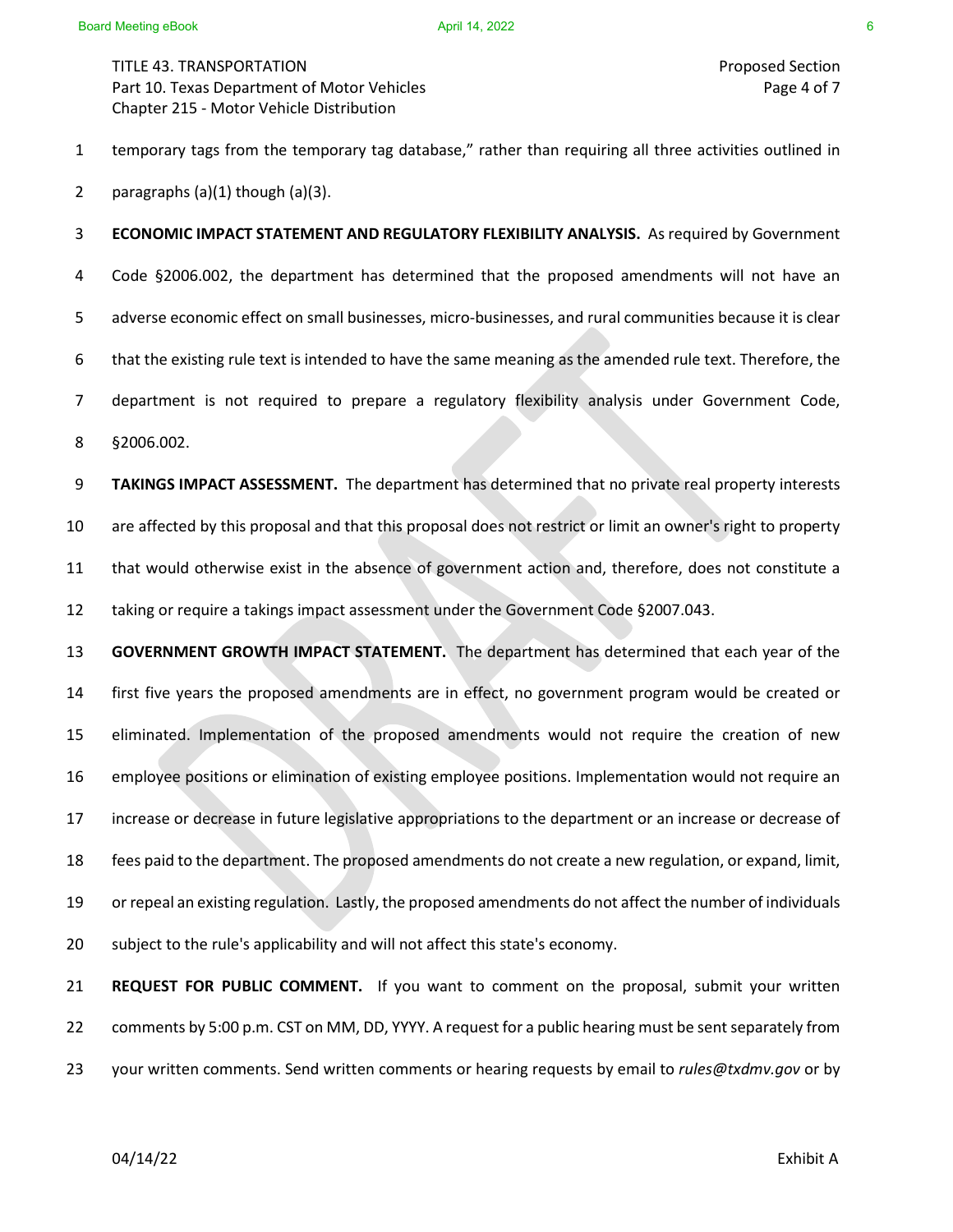1 temporary tags from the temporary tag database," rather than requiring all three activities outlined in 2 paragraphs  $(a)(1)$  though  $(a)(3)$ .

3 **ECONOMIC IMPACT STATEMENT AND REGULATORY FLEXIBILITY ANALYSIS.** As required by Government 4 Code §2006.002, the department has determined that the proposed amendments will not have an 5 adverse economic effect on small businesses, micro-businesses, and rural communities because it is clear 6 that the existing rule text is intended to have the same meaning as the amended rule text. Therefore, the 7 department is not required to prepare a regulatory flexibility analysis under Government Code, 8 §2006.002.

**TAKINGS IMPACT ASSESSMENT.** The department has determined that no private real property interests are affected by this proposal and that this proposal does not restrict or limit an owner's right to property that would otherwise exist in the absence of government action and, therefore, does not constitute a taking or require a takings impact assessment under the Government Code §2007.043.

 **GOVERNMENT GROWTH IMPACT STATEMENT.** The department has determined that each year of the first five years the proposed amendments are in effect, no government program would be created or eliminated. Implementation of the proposed amendments would not require the creation of new employee positions or elimination of existing employee positions. Implementation would not require an increase or decrease in future legislative appropriations to the department or an increase or decrease of fees paid to the department. The proposed amendments do not create a new regulation, or expand, limit, or repeal an existing regulation. Lastly, the proposed amendments do not affect the number of individuals subject to the rule's applicability and will not affect this state's economy.

21 **REQUEST FOR PUBLIC COMMENT.** If you want to comment on the proposal, submit your written 22 comments by 5:00 p.m. CST on MM, DD, YYYY. A request for a public hearing must be sent separately from 23 your written comments. Send written comments or hearing requests by email to *rules@txdmv.gov* or by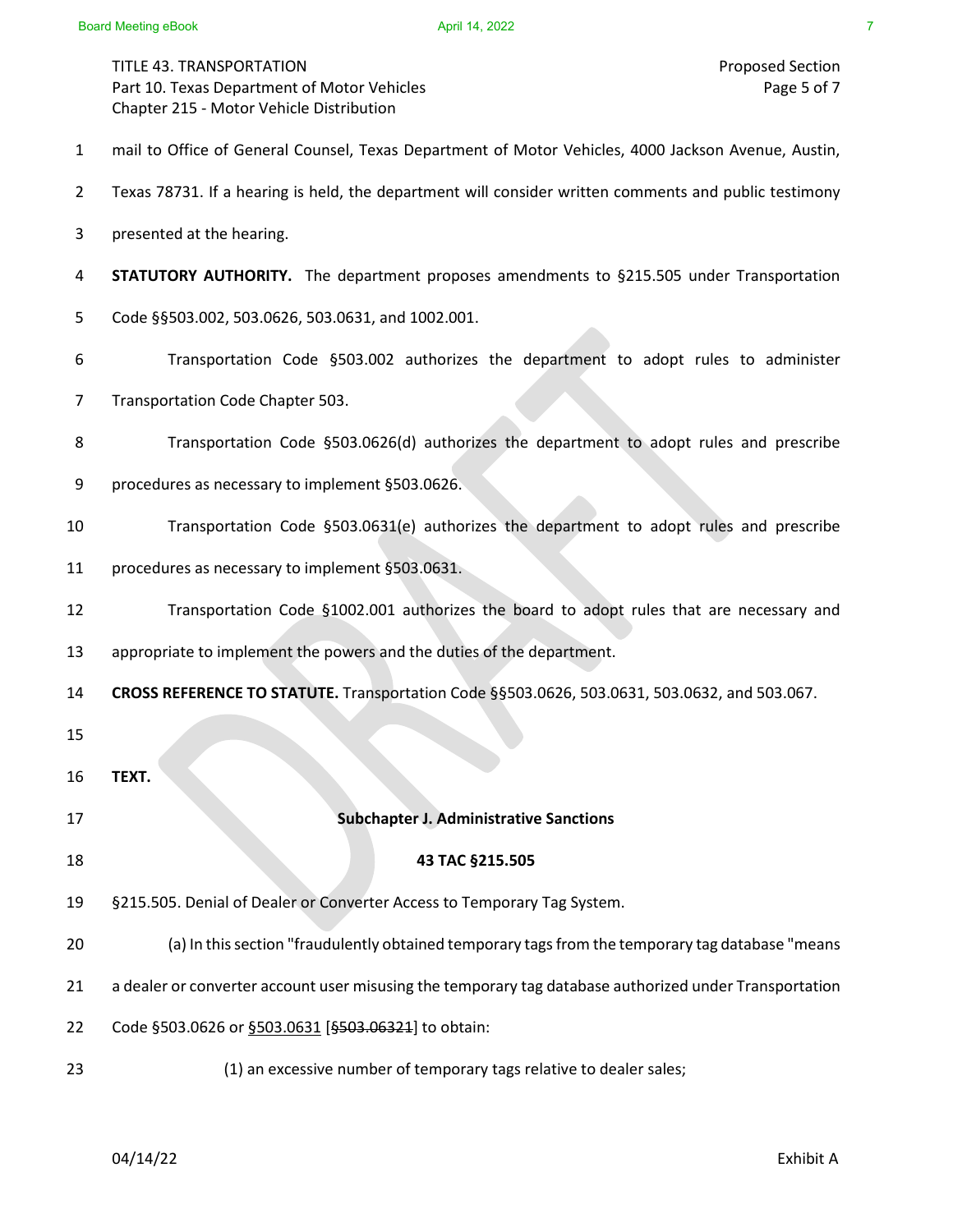- 1 mail to Office of General Counsel, Texas Department of Motor Vehicles, 4000 Jackson Avenue, Austin,
- 2 Texas 78731. If a hearing is held, the department will consider written comments and public testimony
- 3 presented at the hearing.
- 4 **STATUTORY AUTHORITY.** The department proposes amendments to §215.505 under Transportation
- 5 Code §§503.002, 503.0626, 503.0631, and 1002.001.
- 6 Transportation Code §503.002 authorizes the department to adopt rules to administer
- 7 Transportation Code Chapter 503.
- 8 Transportation Code §503.0626(d) authorizes the department to adopt rules and prescribe
- 9 procedures as necessary to implement §503.0626.
- 10 Transportation Code §503.0631(e) authorizes the department to adopt rules and prescribe
- 11 procedures as necessary to implement §503.0631.
- 12 Transportation Code §1002.001 authorizes the board to adopt rules that are necessary and
- 13 appropriate to implement the powers and the duties of the department.
- 14 **CROSS REFERENCE TO STATUTE.** Transportation Code §§503.0626, 503.0631, 503.0632, and 503.067.
- 15
- 16 **TEXT.**
- 17 **Subchapter J. Administrative Sanctions**
- 18 **43 TAC §215.505**
- 19 §215.505. Denial of Dealer or Converter Access to Temporary Tag System.
- 20 (a) In this section "fraudulently obtained temporary tags from the temporary tag database "means
- 21 a dealer or converter account user misusing the temporary tag database authorized under Transportation
- 22 Code §503.0626 or §503.0631 [§503.06321] to obtain:
- 23 (1) an excessive number of temporary tags relative to dealer sales;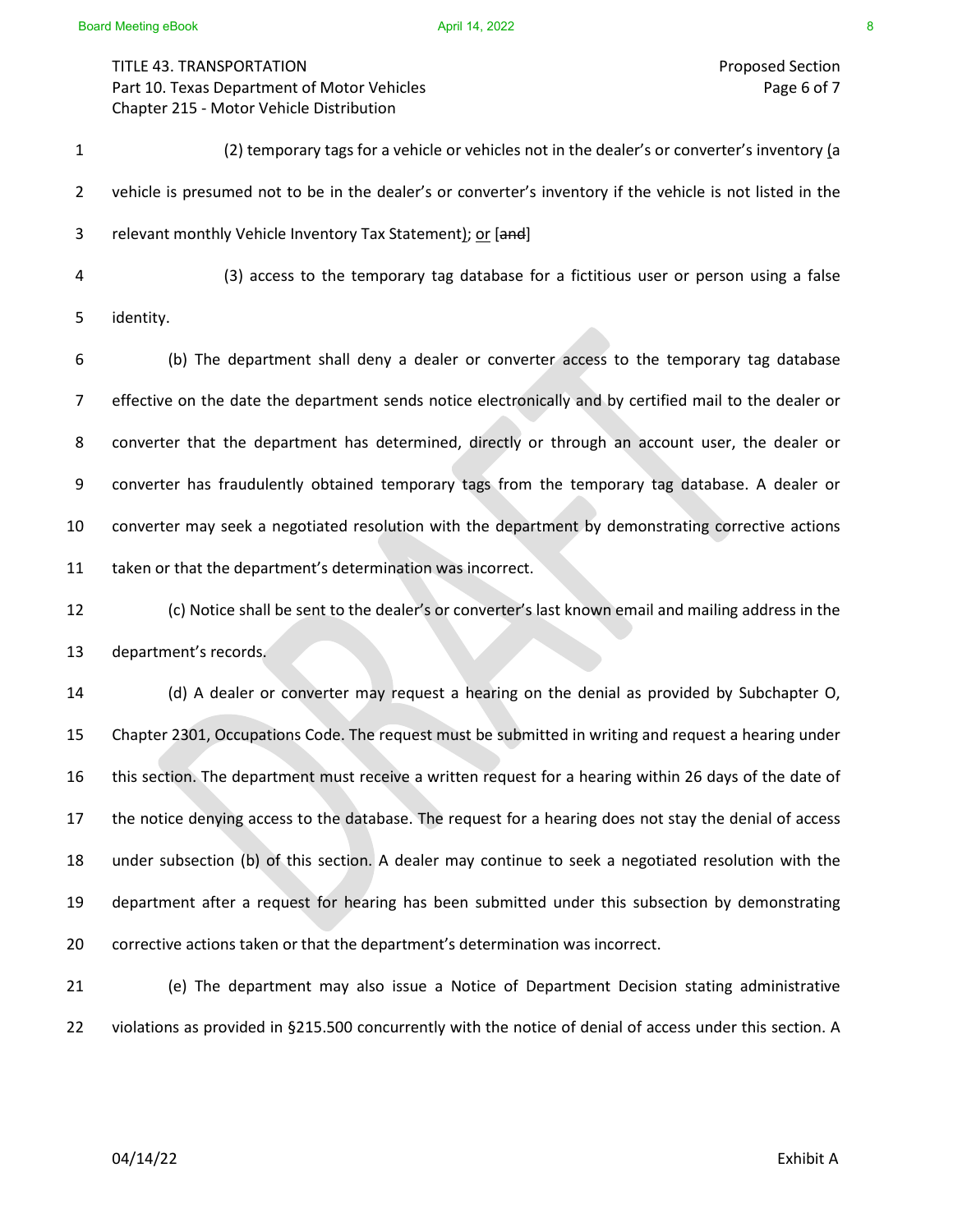TITLE 43. TRANSPORTATION Proposed Section Part 10. Texas Department of Motor Vehicles **Page 6 of 7** and 2008 and 2008 and 2008 and 2008 and 2008 and 2008 and 2008 and 2008 and 2008 and 2008 and 2008 and 2008 and 2008 and 2008 and 2008 and 2008 and 2008 and 2008 an Chapter 215 - Motor Vehicle Distribution

1 (2) temporary tags for a vehicle or vehicles not in the dealer's or converter's inventory (a 2 vehicle is presumed not to be in the dealer's or converter's inventory if the vehicle is not listed in the 3 relevant monthly Vehicle Inventory Tax Statement); or [and] 4 (3) access to the temporary tag database for a fictitious user or person using a false

5 identity.

6 (b) The department shall deny a dealer or converter access to the temporary tag database 7 effective on the date the department sends notice electronically and by certified mail to the dealer or 8 converter that the department has determined, directly or through an account user, the dealer or 9 converter has fraudulently obtained temporary tags from the temporary tag database. A dealer or 10 converter may seek a negotiated resolution with the department by demonstrating corrective actions 11 taken or that the department's determination was incorrect.

12 (c) Notice shall be sent to the dealer's or converter's last known email and mailing address in the 13 department's records.

 (d) A dealer or converter may request a hearing on the denial as provided by Subchapter O, Chapter 2301, Occupations Code. The request must be submitted in writing and request a hearing under this section. The department must receive a written request for a hearing within 26 days of the date of the notice denying access to the database. The request for a hearing does not stay the denial of access under subsection (b) of this section. A dealer may continue to seek a negotiated resolution with the department after a request for hearing has been submitted under this subsection by demonstrating corrective actions taken or that the department's determination was incorrect.

21 (e) The department may also issue a Notice of Department Decision stating administrative 22 violations as provided in §215.500 concurrently with the notice of denial of access under this section. A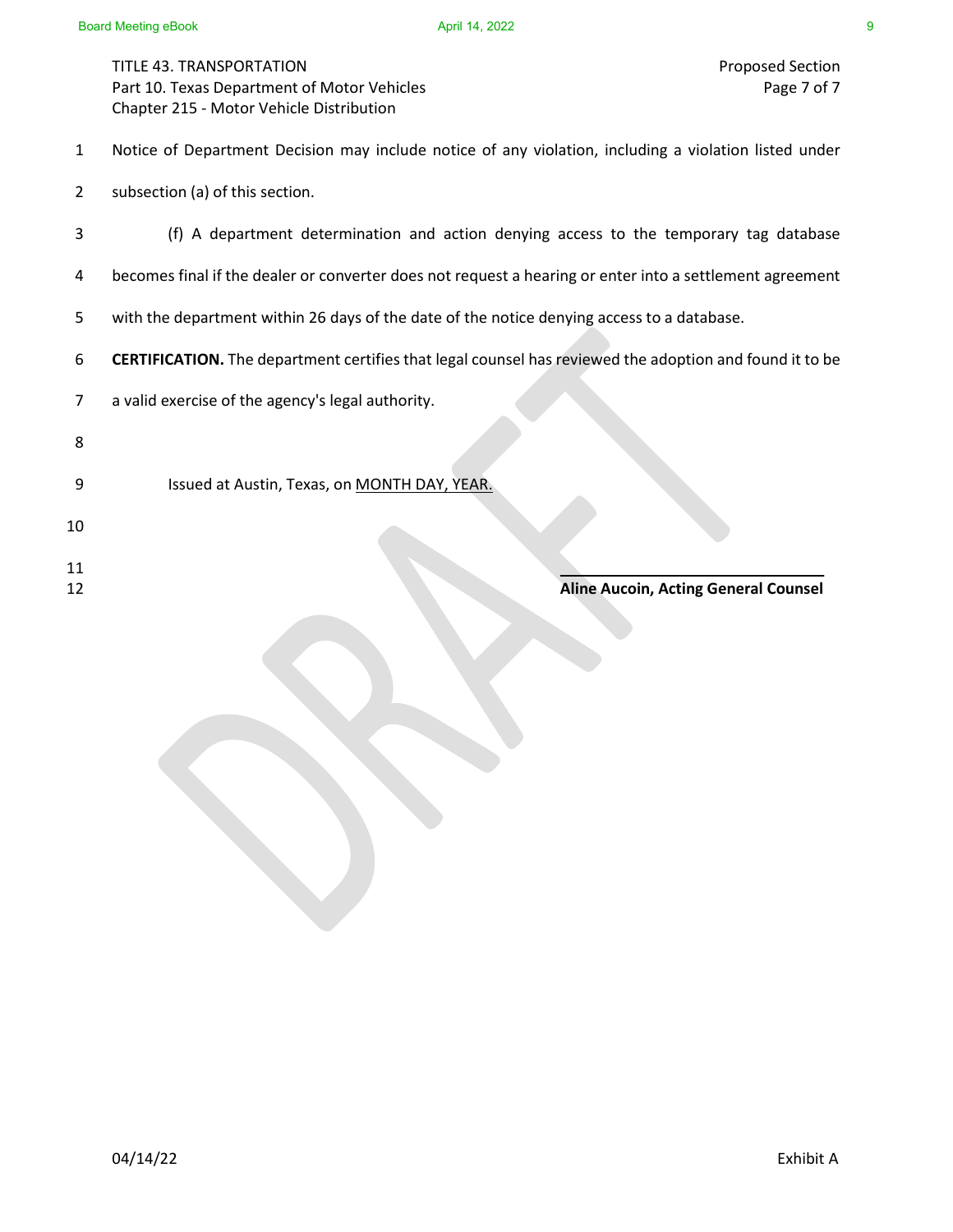- 1 Notice of Department Decision may include notice of any violation, including a violation listed under
- 2 subsection (a) of this section.
- 3 (f) A department determination and action denying access to the temporary tag database
- 4 becomes final if the dealer or converter does not request a hearing or enter into a settlement agreement
- 5 with the department within 26 days of the date of the notice denying access to a database.
- 6 **CERTIFICATION.** The department certifies that legal counsel has reviewed the adoption and found it to be

- 8
- 9 Issued at Austin, Texas, on MONTH DAY, YEAR.
- 10
- $11$
- 

### 12 **Aline Aucoin, Acting General Counsel**

<sup>7</sup> a valid exercise of the agency's legal authority.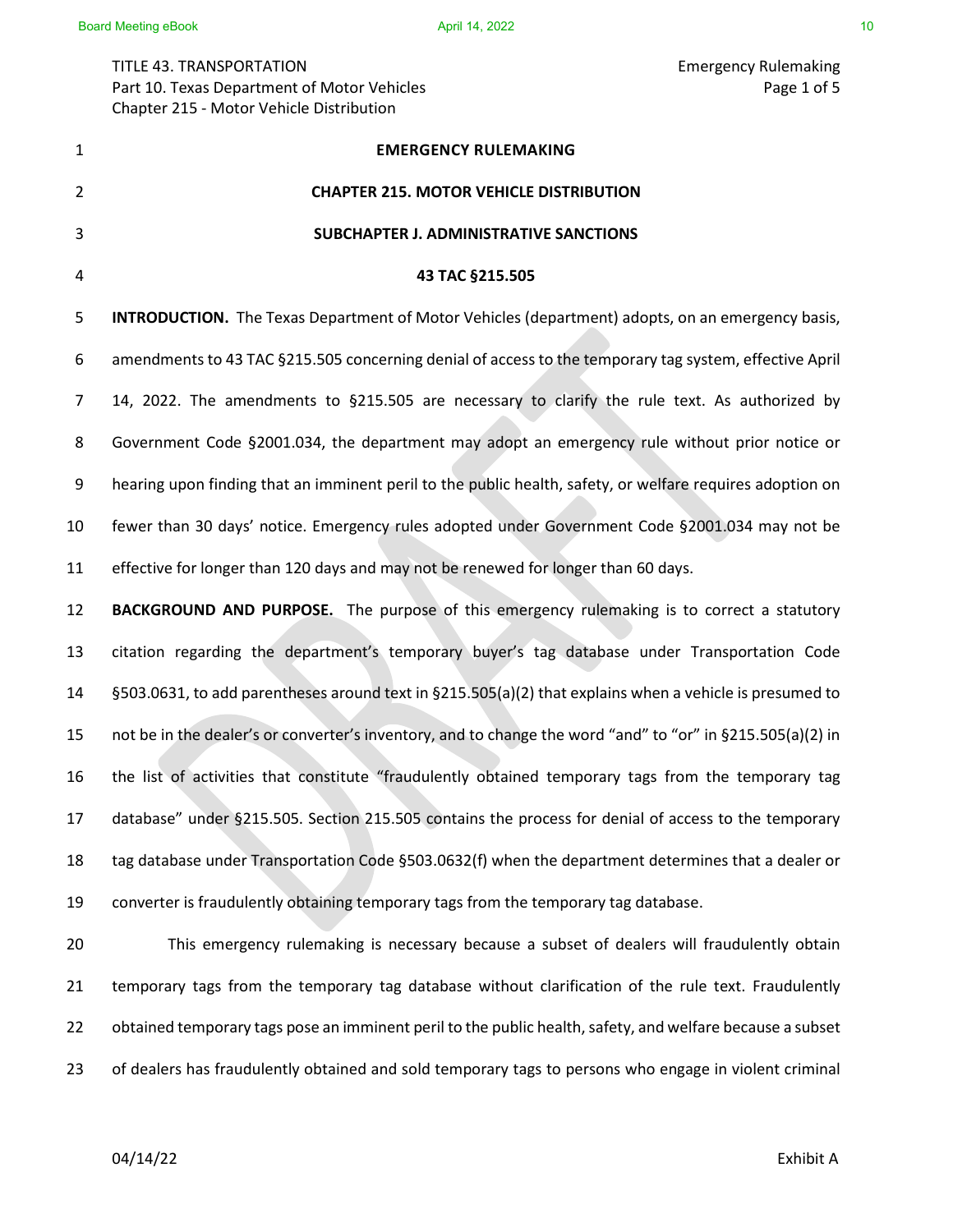# TITLE 43. TRANSPORTATION Emergency Rulemaking Part 10. Texas Department of Motor Vehicles **Page 1 of 5** and 2 and 2 and 2 and 2 and 2 and 2 and 2 and 2 and 2 and 2 and 2 and 2 and 2 and 2 and 2 and 2 and 2 and 2 and 2 and 2 and 2 and 2 and 2 and 2 and 2 and 2 and 2 an Chapter 215 - Motor Vehicle Distribution

**EMERGENCY RULEMAKING CHAPTER 215. MOTOR VEHICLE DISTRIBUTION SUBCHAPTER J. ADMINISTRATIVE SANCTIONS 43 TAC §215.505 INTRODUCTION.** The Texas Department of Motor Vehicles (department) adopts, on an emergency basis, 6 amendments to 43 TAC §215.505 concerning denial of access to the temporary tag system, effective April 7 14, 2022. The amendments to §215.505 are necessary to clarify the rule text. As authorized by 8 Government Code §2001.034, the department may adopt an emergency rule without prior notice or 9 hearing upon finding that an imminent peril to the public health, safety, or welfare requires adoption on fewer than 30 days' notice. Emergency rules adopted under Government Code §2001.034 may not be effective for longer than 120 days and may not be renewed for longer than 60 days. **BACKGROUND AND PURPOSE.** The purpose of this emergency rulemaking is to correct a statutory citation regarding the department's temporary buyer's tag database under Transportation Code §503.0631, to add parentheses around text in §215.505(a)(2) that explains when a vehicle is presumed to not be in the dealer's or converter's inventory, and to change the word "and" to "or" in §215.505(a)(2) in the list of activities that constitute "fraudulently obtained temporary tags from the temporary tag database" under §215.505. Section 215.505 contains the process for denial of access to the temporary tag database under Transportation Code §503.0632(f) when the department determines that a dealer or converter is fraudulently obtaining temporary tags from the temporary tag database. This emergency rulemaking is necessary because a subset of dealers will fraudulently obtain

 temporary tags from the temporary tag database without clarification of the rule text. Fraudulently 22 obtained temporary tags pose an imminent peril to the public health, safety, and welfare because a subset of dealers has fraudulently obtained and sold temporary tags to persons who engage in violent criminal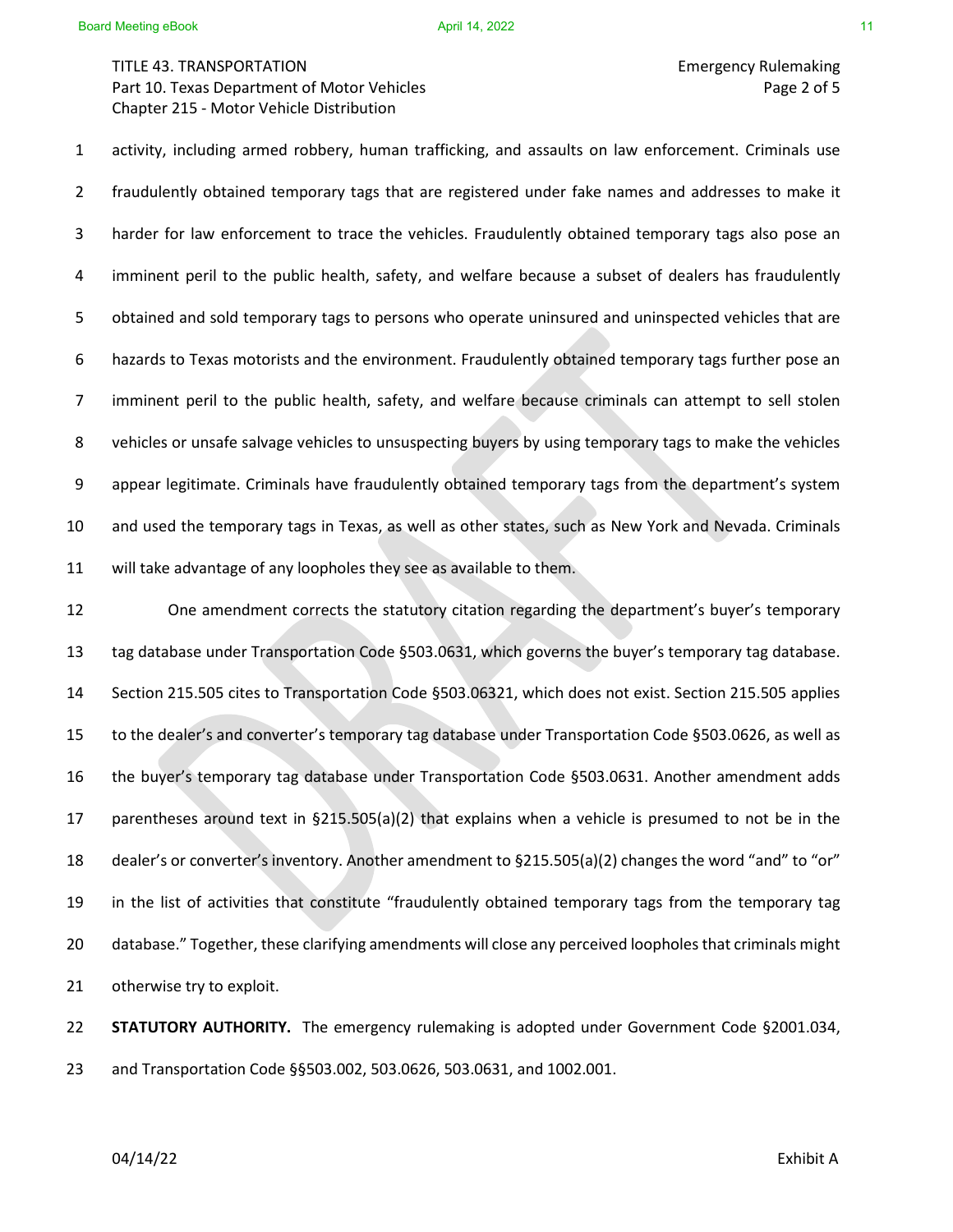TITLE 43. TRANSPORTATION Emergency Rulemaking Part 10. Texas Department of Motor Vehicles **Page 2 of 5** and 2 of 5 Chapter 215 - Motor Vehicle Distribution

1 activity, including armed robbery, human trafficking, and assaults on law enforcement. Criminals use 2 fraudulently obtained temporary tags that are registered under fake names and addresses to make it 3 harder for law enforcement to trace the vehicles. Fraudulently obtained temporary tags also pose an 4 imminent peril to the public health, safety, and welfare because a subset of dealers has fraudulently 5 obtained and sold temporary tags to persons who operate uninsured and uninspected vehicles that are 6 hazards to Texas motorists and the environment. Fraudulently obtained temporary tags further pose an 7 imminent peril to the public health, safety, and welfare because criminals can attempt to sell stolen 8 vehicles or unsafe salvage vehicles to unsuspecting buyers by using temporary tags to make the vehicles 9 appear legitimate. Criminals have fraudulently obtained temporary tags from the department's system 10 and used the temporary tags in Texas, as well as other states, such as New York and Nevada. Criminals 11 will take advantage of any loopholes they see as available to them. 12 One amendment corrects the statutory citation regarding the department's buyer's temporary

 tag database under Transportation Code §503.0631, which governs the buyer's temporary tag database. Section 215.505 cites to Transportation Code §503.06321, which does not exist. Section 215.505 applies to the dealer's and converter's temporary tag database under Transportation Code §503.0626, as well as the buyer's temporary tag database under Transportation Code §503.0631. Another amendment adds parentheses around text in §215.505(a)(2) that explains when a vehicle is presumed to not be in the dealer's or converter's inventory. Another amendment to §215.505(a)(2) changes the word "and" to "or" in the list of activities that constitute "fraudulently obtained temporary tags from the temporary tag database." Together, these clarifying amendments will close any perceived loopholes that criminals might otherwise try to exploit.

22 **STATUTORY AUTHORITY.** The emergency rulemaking is adopted under Government Code §2001.034, 23 and Transportation Code §§503.002, 503.0626, 503.0631, and 1002.001.

04/14/22 Exhibit A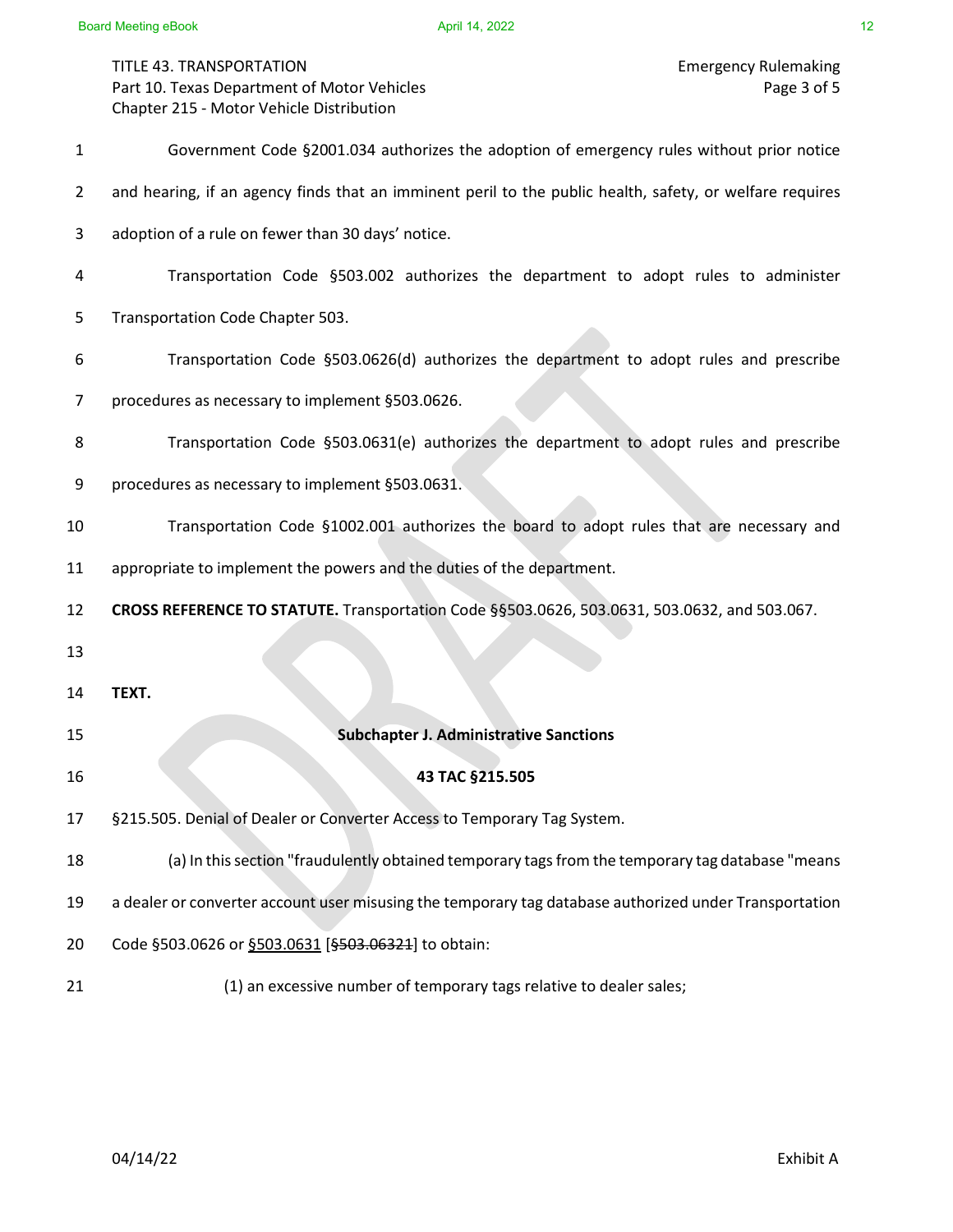TITLE 43. TRANSPORTATION<br>Part 10. Texas Department of Motor Vehicles<br>Page 3 of 5 Part 10. Texas Department of Motor Vehicles Chapter 215 - Motor Vehicle Distribution

| $\mathbf{1}$   | Government Code §2001.034 authorizes the adoption of emergency rules without prior notice                |
|----------------|----------------------------------------------------------------------------------------------------------|
| $\overline{2}$ | and hearing, if an agency finds that an imminent peril to the public health, safety, or welfare requires |
| 3              | adoption of a rule on fewer than 30 days' notice.                                                        |
| 4              | Transportation Code §503.002 authorizes the department to adopt rules to administer                      |
| 5              | Transportation Code Chapter 503.                                                                         |
| 6              | Transportation Code §503.0626(d) authorizes the department to adopt rules and prescribe                  |
| 7              | procedures as necessary to implement §503.0626.                                                          |
| 8              | Transportation Code §503.0631(e) authorizes the department to adopt rules and prescribe                  |
| 9              | procedures as necessary to implement §503.0631.                                                          |
| 10             | Transportation Code §1002.001 authorizes the board to adopt rules that are necessary and                 |
| 11             | appropriate to implement the powers and the duties of the department.                                    |
| 12             | CROSS REFERENCE TO STATUTE. Transportation Code §§503.0626, 503.0631, 503.0632, and 503.067.             |
| 13             |                                                                                                          |
| 14             | TEXT.                                                                                                    |
| 15             | <b>Subchapter J. Administrative Sanctions</b>                                                            |
| 16             | 43 TAC §215.505                                                                                          |
| 17             | §215.505. Denial of Dealer or Converter Access to Temporary Tag System.                                  |
| 18             | (a) In this section "fraudulently obtained temporary tags from the temporary tag database "means         |
| 19             | a dealer or converter account user misusing the temporary tag database authorized under Transportation   |
| 20             | Code §503.0626 or §503.0631 [§503.06321] to obtain:                                                      |
| 21             | (1) an excessive number of temporary tags relative to dealer sales;                                      |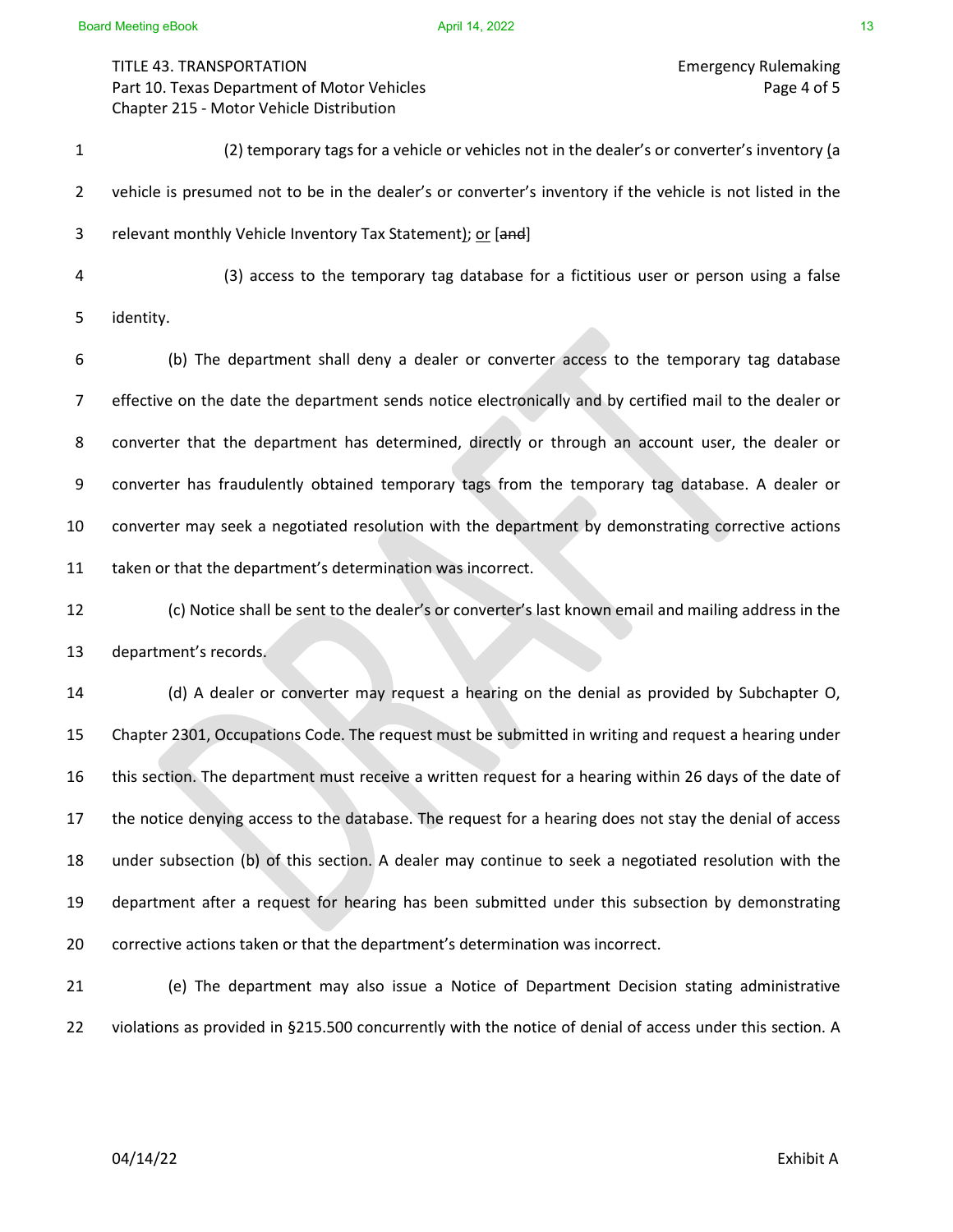TITLE 43. TRANSPORTATION Emergency Rulemaking Part 10. Texas Department of Motor Vehicles **Page 4 of 5** and 2008 and 2008 and 2008 and 2008 and 2008 and 2008 and 2008 and 2008 and 2008 and 2008 and 2008 and 2008 and 2008 and 2008 and 2008 and 2008 and 2008 and 2008 an Chapter 215 - Motor Vehicle Distribution

1 (2) temporary tags for a vehicle or vehicles not in the dealer's or converter's inventory (a 2 vehicle is presumed not to be in the dealer's or converter's inventory if the vehicle is not listed in the 3 relevant monthly Vehicle Inventory Tax Statement); or [and] 4 (3) access to the temporary tag database for a fictitious user or person using a false

5 identity.

6 (b) The department shall deny a dealer or converter access to the temporary tag database 7 effective on the date the department sends notice electronically and by certified mail to the dealer or 8 converter that the department has determined, directly or through an account user, the dealer or 9 converter has fraudulently obtained temporary tags from the temporary tag database. A dealer or 10 converter may seek a negotiated resolution with the department by demonstrating corrective actions 11 taken or that the department's determination was incorrect.

12 (c) Notice shall be sent to the dealer's or converter's last known email and mailing address in the 13 department's records.

 (d) A dealer or converter may request a hearing on the denial as provided by Subchapter O, Chapter 2301, Occupations Code. The request must be submitted in writing and request a hearing under this section. The department must receive a written request for a hearing within 26 days of the date of the notice denying access to the database. The request for a hearing does not stay the denial of access under subsection (b) of this section. A dealer may continue to seek a negotiated resolution with the department after a request for hearing has been submitted under this subsection by demonstrating corrective actions taken or that the department's determination was incorrect.

21 (e) The department may also issue a Notice of Department Decision stating administrative 22 violations as provided in §215.500 concurrently with the notice of denial of access under this section. A